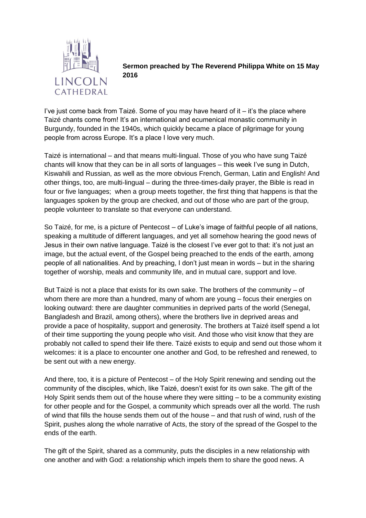

**Sermon preached by The Reverend Philippa White on 15 May 2016**

I've just come back from Taizé. Some of you may have heard of it – it's the place where Taizé chants come from! It's an international and ecumenical monastic community in Burgundy, founded in the 1940s, which quickly became a place of pilgrimage for young people from across Europe. It's a place I love very much.

Taizé is international – and that means multi-lingual. Those of you who have sung Taizé chants will know that they can be in all sorts of languages – this week I've sung in Dutch, Kiswahili and Russian, as well as the more obvious French, German, Latin and English! And other things, too, are multi-lingual – during the three-times-daily prayer, the Bible is read in four or five languages; when a group meets together, the first thing that happens is that the languages spoken by the group are checked, and out of those who are part of the group, people volunteer to translate so that everyone can understand.

So Taizé, for me, is a picture of Pentecost – of Luke's image of faithful people of all nations, speaking a multitude of different languages, and yet all somehow hearing the good news of Jesus in their own native language. Taizé is the closest I've ever got to that: it's not just an image, but the actual event, of the Gospel being preached to the ends of the earth, among people of all nationalities. And by preaching, I don't just mean in words – but in the sharing together of worship, meals and community life, and in mutual care, support and love.

But Taizé is not a place that exists for its own sake. The brothers of the community – of whom there are more than a hundred, many of whom are young – focus their energies on looking outward: there are daughter communities in deprived parts of the world (Senegal, Bangladesh and Brazil, among others), where the brothers live in deprived areas and provide a pace of hospitality, support and generosity. The brothers at Taizé itself spend a lot of their time supporting the young people who visit. And those who visit know that they are probably not called to spend their life there. Taizé exists to equip and send out those whom it welcomes: it is a place to encounter one another and God, to be refreshed and renewed, to be sent out with a new energy.

And there, too, it is a picture of Pentecost – of the Holy Spirit renewing and sending out the community of the disciples, which, like Taizé, doesn't exist for its own sake. The gift of the Holy Spirit sends them out of the house where they were sitting – to be a community existing for other people and for the Gospel, a community which spreads over all the world. The rush of wind that fills the house sends them out of the house – and that rush of wind, rush of the Spirit, pushes along the whole narrative of Acts, the story of the spread of the Gospel to the ends of the earth.

The gift of the Spirit, shared as a community, puts the disciples in a new relationship with one another and with God: a relationship which impels them to share the good news. A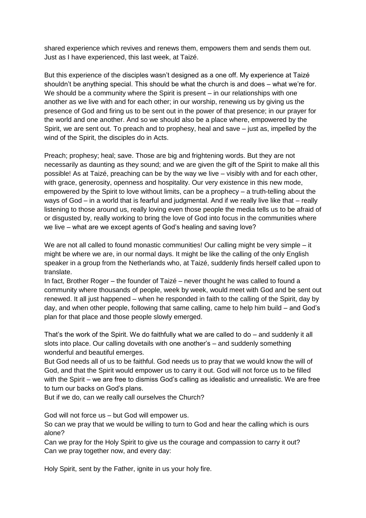shared experience which revives and renews them, empowers them and sends them out. Just as I have experienced, this last week, at Taizé.

But this experience of the disciples wasn't designed as a one off. My experience at Taizé shouldn't be anything special. This should be what the church is and does – what we're for. We should be a community where the Spirit is present – in our relationships with one another as we live with and for each other; in our worship, renewing us by giving us the presence of God and firing us to be sent out in the power of that presence; in our prayer for the world and one another. And so we should also be a place where, empowered by the Spirit, we are sent out. To preach and to prophesy, heal and save – just as, impelled by the wind of the Spirit, the disciples do in Acts.

Preach; prophesy; heal; save. Those are big and frightening words. But they are not necessarily as daunting as they sound; and we are given the gift of the Spirit to make all this possible! As at Taizé, preaching can be by the way we live – visibly with and for each other, with grace, generosity, openness and hospitality. Our very existence in this new mode, empowered by the Spirit to love without limits, can be a prophecy – a truth-telling about the ways of God – in a world that is fearful and judgmental. And if we really live like that – really listening to those around us, really loving even those people the media tells us to be afraid of or disgusted by, really working to bring the love of God into focus in the communities where we live – what are we except agents of God's healing and saving love?

We are not all called to found monastic communities! Our calling might be very simple – it might be where we are, in our normal days. It might be like the calling of the only English speaker in a group from the Netherlands who, at Taizé, suddenly finds herself called upon to translate.

In fact, Brother Roger – the founder of Taizé – never thought he was called to found a community where thousands of people, week by week, would meet with God and be sent out renewed. It all just happened – when he responded in faith to the calling of the Spirit, day by day, and when other people, following that same calling, came to help him build – and God's plan for that place and those people slowly emerged.

That's the work of the Spirit. We do faithfully what we are called to do – and suddenly it all slots into place. Our calling dovetails with one another's – and suddenly something wonderful and beautiful emerges.

But God needs all of us to be faithful. God needs us to pray that we would know the will of God, and that the Spirit would empower us to carry it out. God will not force us to be filled with the Spirit – we are free to dismiss God's calling as idealistic and unrealistic. We are free to turn our backs on God's plans.

But if we do, can we really call ourselves the Church?

God will not force us – but God will empower us.

So can we pray that we would be willing to turn to God and hear the calling which is ours alone?

Can we pray for the Holy Spirit to give us the courage and compassion to carry it out? Can we pray together now, and every day:

Holy Spirit, sent by the Father, ignite in us your holy fire.